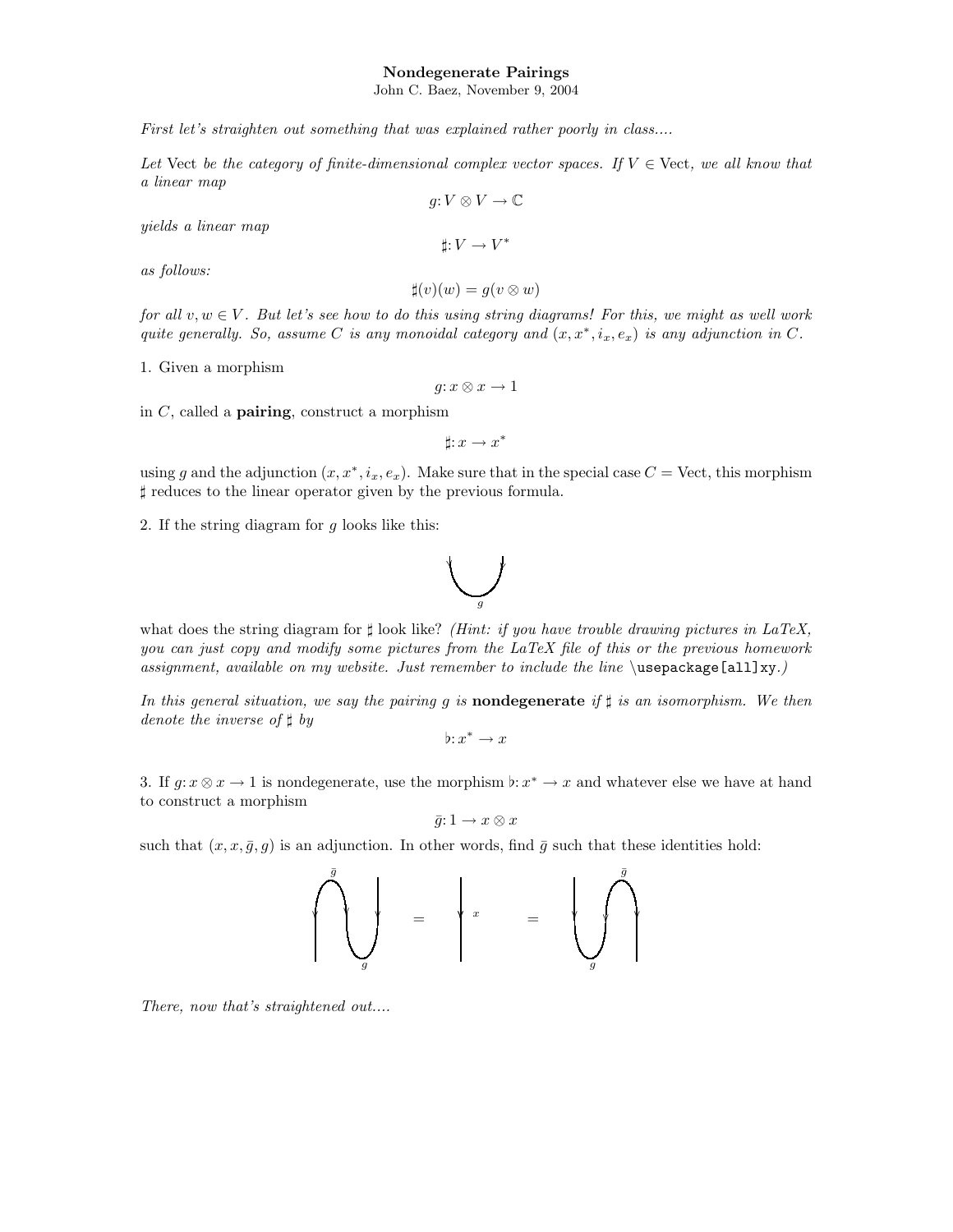## Nondegenerate Pairings

John C. Baez, November 9, 2004

First let's straighten out something that was explained rather poorly in class....

Let Vect be the category of finite-dimensional complex vector spaces. If  $V \in$  Vect, we all know that a linear map  $q: V \otimes V \to \mathbb{C}$ 

yields a linear map

as follows:

$$
\sharp(v)(w) = g(v \otimes w)
$$

 $\sharp: V \to V^*$ 

for all  $v, w \in V$ . But let's see how to do this using string diagrams! For this, we might as well work quite generally. So, assume C is any monoidal category and  $(x, x^*, i_x, e_x)$  is any adjunction in C.

1. Given a morphism

 $g: x \otimes x \to 1$ 

in  $C$ , called a **pairing**, construct a morphism

 $\sharp : x \to x^*$ 

using g and the adjunction  $(x, x^*, i_x, e_x)$ . Make sure that in the special case  $C = \text{Vect}$ , this morphism ] reduces to the linear operator given by the previous formula.

2. If the string diagram for g looks like this:



what does the string diagram for  $\sharp$  look like? (Hint: if you have trouble drawing pictures in LaTeX, you can just copy and modify some pictures from the LaTeX file of this or the previous homework assignment, available on my website. Just remember to include the line  $\u$ sepackage[all]xy.)

In this general situation, we say the pairing g is **nondegenerate** if  $\sharp$  is an isomorphism. We then denote the inverse of  $\sharp$  by

 $\flat : x^* \to x$ 

3. If  $g: x \otimes x \to 1$  is nondegenerate, use the morphism  $\flat: x^* \to x$  and whatever else we have at hand to construct a morphism

$$
\bar{g}\mathpunct{:}1\to x\otimes x
$$

such that  $(x, x, \overline{g}, g)$  is an adjunction. In other words, find  $\overline{g}$  such that these identities hold:

$$
\left\{\begin{array}{ccc} \bar{g} \\ \ \downarrow \\ g \end{array}\right\} \quad = \quad \left\{\begin{array}{ccc} x & & & \\ & x & & = & \\ & & & \end{array}\right\}
$$

There, now that's straightened out....